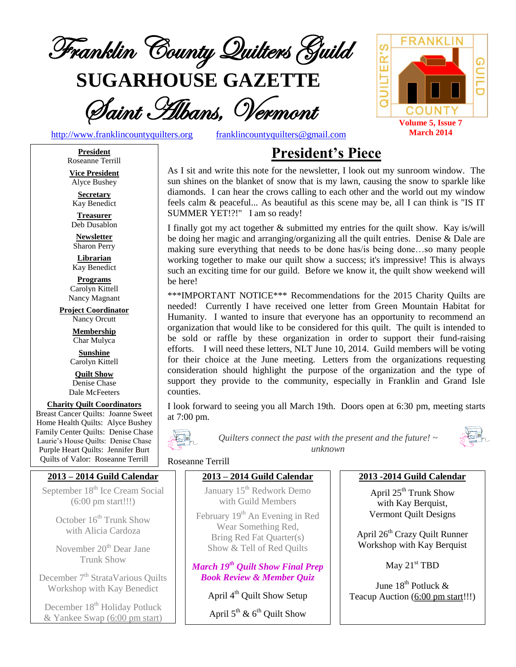

**SUGARHOUSE GAZETTE**



[http://www.franklincountyquilters.org](http://www.franklincountyquilters.org/) [franklincountyquilters@gmail.com](mailto:franklincountyquilters@gmail.com)

# **President's Piece**

As I sit and write this note for the newsletter, I look out my sunroom window. The sun shines on the blanket of snow that is my lawn, causing the snow to sparkle like diamonds. I can hear the crows calling to each other and the world out my window feels calm & peaceful... As beautiful as this scene may be, all I can think is "IS IT SUMMER YET!?!" I am so ready!

I finally got my act together & submitted my entries for the quilt show. Kay is/will be doing her magic and arranging/organizing all the quilt entries. Denise & Dale are making sure everything that needs to be done has/is being done…so many people working together to make our quilt show a success; it's impressive! This is always such an exciting time for our guild. Before we know it, the quilt show weekend will be here!

\*\*\*IMPORTANT NOTICE\*\*\* Recommendations for the 2015 Charity Quilts are needed! Currently I have received one letter from Green Mountain Habitat for Humanity. I wanted to insure that everyone has an opportunity to recommend an organization that would like to be considered for this quilt. The quilt is intended to be sold or raffle by these organization in order to support their fund-raising efforts. I will need these letters, NLT June 10, 2014. Guild members will be voting for their choice at the June meeting. Letters from the organizations requesting consideration should highlight the purpose of the organization and the type of support they provide to the community, especially in Franklin and Grand Isle counties.

I look forward to seeing you all March 19th. Doors open at 6:30 pm, meeting starts at 7:00 pm.



*Quilters connect the past with the present and the future! ~ unknown*



#### Roseanne Terrill

## **2013 – 2014 Guild Calendar**

January 15<sup>th</sup> Redwork Demo with Guild Members

February 19<sup>th</sup> An Evening in Red Wear Something Red, Bring Red Fat Quarter(s) Show & Tell of Red Quilts

*March 19th Quilt Show Final Prep Book Review & Member Quiz*

April 4<sup>th</sup> Quilt Show Setup

April  $5^{\text{th}}$  &  $6^{\text{th}}$  Quilt Show

#### **2013 -2014 Guild Calendar**

April 25<sup>th</sup> Trunk Show with Kay Berquist, Vermont Quilt Designs

April 26<sup>th</sup> Crazy Quilt Runner Workshop with Kay Berquist

May 21<sup>st</sup> TBD

June 18<sup>th</sup> Potluck & Teacup Auction (6:00 pm start!!!)

**President** Roseanne Terrill

**Vice President** Alyce Bushey

**Secretary** Kay Benedict

**Treasurer** Deb Dusablon

**Newsletter** Sharon Perry

**Librarian** Kay Benedict

**Programs** Carolyn Kittell Nancy Magnant

**Project Coordinator** Nancy Orcutt

> **Membership** Char Mulyca

**Sunshine** Carolyn Kittell

**Quilt Show** Denise Chase Dale McFeeters

## **Charity Quilt Coordinators**

Breast Cancer Quilts: Joanne Sweet Home Health Quilts: Alyce Bushey Family Center Quilts: Denise Chase Laurie's House Quilts: Denise Chase Purple Heart Quilts: Jennifer Burt Quilts of Valor: Roseanne Terrill

# **2013 – 2014 Guild Calendar**

September 18<sup>th</sup> Ice Cream Social (6:00 pm start!!!)

> October  $16<sup>th</sup>$  Trunk Show with Alicia Cardoza

> November 20<sup>th</sup> Dear Jane Trunk Show

December 7<sup>th</sup> StrataVarious Quilts Workshop with Kay Benedict

December 18<sup>th</sup> Holiday Potluck & Yankee Swap (6:00 pm start)

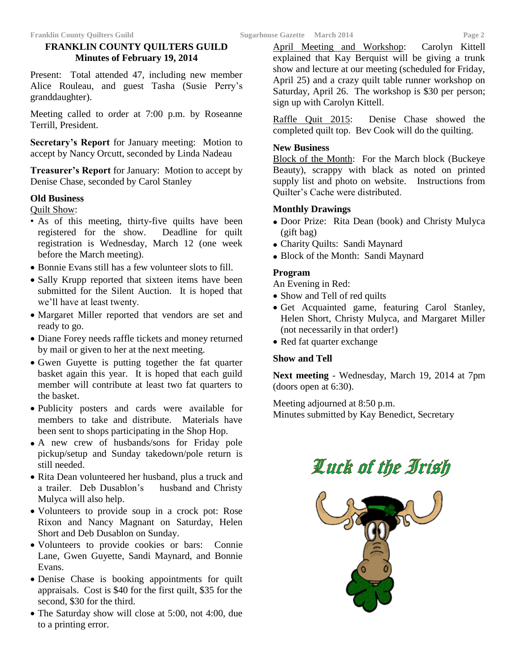# **FRANKLIN COUNTY QUILTERS GUILD Minutes of February 19, 2014**

Present: Total attended 47, including new member Alice Rouleau, and guest Tasha (Susie Perry's granddaughter).

Meeting called to order at 7:00 p.m. by Roseanne Terrill, President.

**Secretary's Report** for January meeting: Motion to accept by Nancy Orcutt, seconded by Linda Nadeau

**Treasurer's Report** for January: Motion to accept by Denise Chase, seconded by Carol Stanley

#### **Old Business**

Quilt Show:

- As of this meeting, thirty-five quilts have been registered for the show. Deadline for quilt registration is Wednesday, March 12 (one week before the March meeting).
- Bonnie Evans still has a few volunteer slots to fill.
- Sally Krupp reported that sixteen items have been submitted for the Silent Auction. It is hoped that we'll have at least twenty.
- Margaret Miller reported that vendors are set and ready to go.
- Diane Forey needs raffle tickets and money returned by mail or given to her at the next meeting.
- Gwen Guyette is putting together the fat quarter basket again this year. It is hoped that each guild member will contribute at least two fat quarters to the basket.
- Publicity posters and cards were available for members to take and distribute. Materials have been sent to shops participating in the Shop Hop.
- A new crew of husbands/sons for Friday pole pickup/setup and Sunday takedown/pole return is still needed.
- Rita Dean volunteered her husband, plus a truck and a trailer. Deb Dusablon's husband and Christy Mulyca will also help.
- Volunteers to provide soup in a crock pot: Rose Rixon and Nancy Magnant on Saturday, Helen Short and Deb Dusablon on Sunday.
- Volunteers to provide cookies or bars: Connie Lane, Gwen Guyette, Sandi Maynard, and Bonnie Evans.
- Denise Chase is booking appointments for quilt appraisals. Cost is \$40 for the first quilt, \$35 for the second, \$30 for the third.
- The Saturday show will close at 5:00, not 4:00, due to a printing error.

April Meeting and Workshop: Carolyn Kittell explained that Kay Berquist will be giving a trunk show and lecture at our meeting (scheduled for Friday, April 25) and a crazy quilt table runner workshop on Saturday, April 26. The workshop is \$30 per person; sign up with Carolyn Kittell.

Raffle Quit 2015: Denise Chase showed the completed quilt top. Bev Cook will do the quilting.

#### **New Business**

Block of the Month: For the March block (Buckeye Beauty), scrappy with black as noted on printed supply list and photo on website. Instructions from Quilter's Cache were distributed.

#### **Monthly Drawings**

- Door Prize: Rita Dean (book) and Christy Mulyca (gift bag)
- Charity Quilts: Sandi Maynard
- Block of the Month: Sandi Maynard

## **Program**

An Evening in Red:

- Show and Tell of red quilts
- Get Acquainted game, featuring Carol Stanley, Helen Short, Christy Mulyca, and Margaret Miller (not necessarily in that order!)
- Red fat quarter exchange

## **Show and Tell**

**Next meeting** - Wednesday, March 19, 2014 at 7pm (doors open at 6:30).

Meeting adjourned at 8:50 p.m. Minutes submitted by Kay Benedict, Secretary



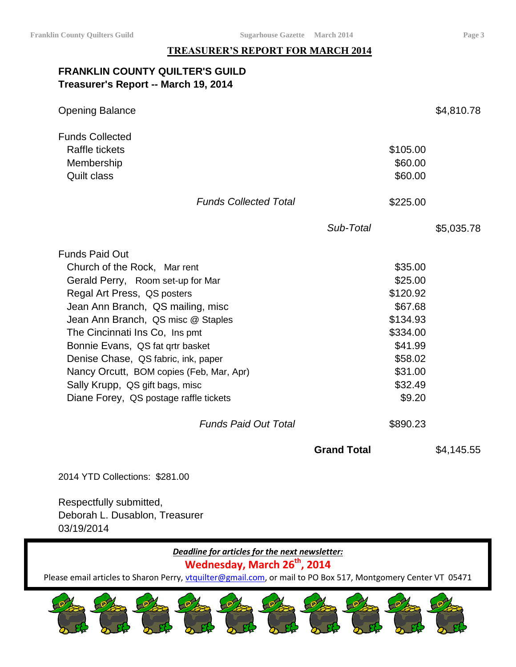#### **TREASURER'S REPORT FOR MARCH 2014**

# **FRANKLIN COUNTY QUILTER'S GUILD Treasurer's Report -- March 19, 2014**

| <b>Opening Balance</b>                                                                                                                                                                                                                                                                                                                                                                                                                     |                                                                                                                         | \$4,810.78 |
|--------------------------------------------------------------------------------------------------------------------------------------------------------------------------------------------------------------------------------------------------------------------------------------------------------------------------------------------------------------------------------------------------------------------------------------------|-------------------------------------------------------------------------------------------------------------------------|------------|
| <b>Funds Collected</b><br><b>Raffle tickets</b><br>Membership<br><b>Quilt class</b>                                                                                                                                                                                                                                                                                                                                                        | \$105.00<br>\$60.00<br>\$60.00                                                                                          |            |
| <b>Funds Collected Total</b>                                                                                                                                                                                                                                                                                                                                                                                                               | \$225.00                                                                                                                |            |
|                                                                                                                                                                                                                                                                                                                                                                                                                                            | Sub-Total                                                                                                               | \$5,035.78 |
| <b>Funds Paid Out</b><br>Church of the Rock, Mar rent<br>Gerald Perry, Room set-up for Mar<br>Regal Art Press, QS posters<br>Jean Ann Branch, QS mailing, misc<br>Jean Ann Branch, QS misc @ Staples<br>The Cincinnati Ins Co, Ins pmt<br>Bonnie Evans, QS fat grtr basket<br>Denise Chase, QS fabric, ink, paper<br>Nancy Orcutt, BOM copies (Feb, Mar, Apr)<br>Sally Krupp, QS gift bags, misc<br>Diane Forey, QS postage raffle tickets | \$35.00<br>\$25.00<br>\$120.92<br>\$67.68<br>\$134.93<br>\$334.00<br>\$41.99<br>\$58.02<br>\$31.00<br>\$32.49<br>\$9.20 |            |
| <b>Funds Paid Out Total</b>                                                                                                                                                                                                                                                                                                                                                                                                                | \$890.23                                                                                                                |            |
|                                                                                                                                                                                                                                                                                                                                                                                                                                            | <b>Grand Total</b>                                                                                                      | \$4,145.55 |

2014 YTD Collections: \$281.00

Respectfully submitted, Deborah L. Dusablon, Treasurer 03/19/2014

# *Deadline for articles for the next newsletter:*

# **Wednesday, March 26 th , 2014**

Please email articles to Sharon Perry, [vtquilter@gmail.com,](mailto:vtquilter@gmail.com) or mail to PO Box 517, Montgomery Center VT 05471

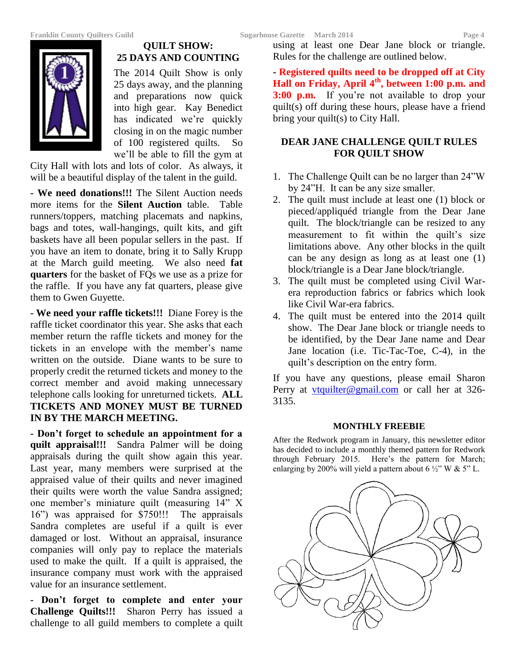

# **QUILT SHOW: 25 DAYS AND COUNTING**

The 2014 Quilt Show is only 25 days away, and the planning and preparations now quick into high gear. Kay Benedict has indicated we're quickly closing in on the magic number of 100 registered quilts. So we'll be able to fill the gym at

City Hall with lots and lots of color. As always, it will be a beautiful display of the talent in the guild.

**- We need donations!!!** The Silent Auction needs more items for the **Silent Auction** table. Table runners/toppers, matching placemats and napkins, bags and totes, wall-hangings, quilt kits, and gift baskets have all been popular sellers in the past. If you have an item to donate, bring it to Sally Krupp at the March guild meeting. We also need **fat quarters** for the basket of FQs we use as a prize for the raffle. If you have any fat quarters, please give them to Gwen Guyette.

**- We need your raffle tickets!!!** Diane Forey is the raffle ticket coordinator this year. She asks that each member return the raffle tickets and money for the tickets in an envelope with the member's name written on the outside. Diane wants to be sure to properly credit the returned tickets and money to the correct member and avoid making unnecessary telephone calls looking for unreturned tickets. **ALL TICKETS AND MONEY MUST BE TURNED IN BY THE MARCH MEETING.**

**- Don't forget to schedule an appointment for a quilt appraisal!!!** Sandra Palmer will be doing appraisals during the quilt show again this year. Last year, many members were surprised at the appraised value of their quilts and never imagined their quilts were worth the value Sandra assigned; one member's miniature quilt (measuring 14" X 16") was appraised for \$750!!! The appraisals Sandra completes are useful if a quilt is ever damaged or lost. Without an appraisal, insurance companies will only pay to replace the materials used to make the quilt. If a quilt is appraised, the insurance company must work with the appraised value for an insurance settlement.

**- Don't forget to complete and enter your Challenge Quilts!!!** Sharon Perry has issued a challenge to all guild members to complete a quilt

using at least one Dear Jane block or triangle. Rules for the challenge are outlined below.

**- Registered quilts need to be dropped off at City Hall on Friday, April 4th, between 1:00 p.m. and 3:00 p.m.** If you're not available to drop your quilt(s) off during these hours, please have a friend bring your quilt(s) to City Hall.

# **DEAR JANE CHALLENGE QUILT RULES FOR QUILT SHOW**

- 1. The Challenge Quilt can be no larger than 24"W by 24"H. It can be any size smaller.
- 2. The quilt must include at least one (1) block or pieced/appliquéd triangle from the Dear Jane quilt. The block/triangle can be resized to any measurement to fit within the quilt's size limitations above. Any other blocks in the quilt can be any design as long as at least one (1) block/triangle is a Dear Jane block/triangle.
- 3. The quilt must be completed using Civil Warera reproduction fabrics or fabrics which look like Civil War-era fabrics.
- 4. The quilt must be entered into the 2014 quilt show. The Dear Jane block or triangle needs to be identified, by the Dear Jane name and Dear Jane location (i.e. Tic-Tac-Toe, C-4), in the quilt's description on the entry form.

If you have any questions, please email Sharon Perry at [vtquilter@gmail.com](mailto:vtquilter@gmail.com) or call her at 326-3135.

## **MONTHLY FREEBIE**

After the Redwork program in January, this newsletter editor has decided to include a monthly themed pattern for Redwork through February 2015. Here's the pattern for March; enlarging by 200% will yield a pattern about  $6\frac{1}{2}$ " W & 5" L.

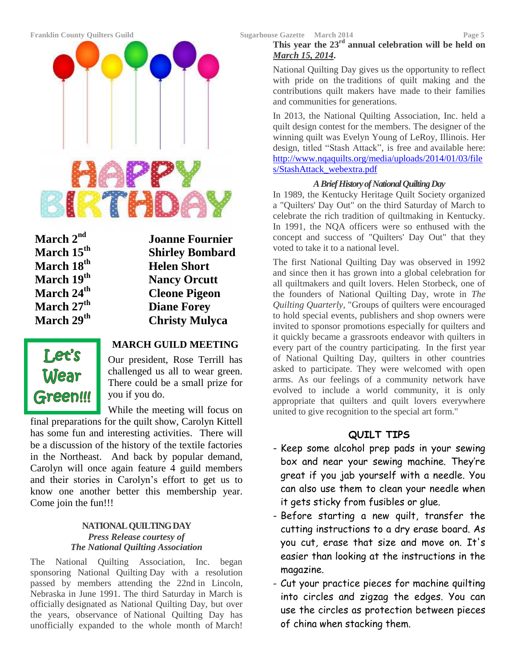

March 2<sup>nd</sup><br>March 15<sup>th</sup>

**nd Joanne Fournier Shirley Bombard March**  $18^{th}$  **Helen Short March 19th Nancy Orcutt March 24th Cleone Pigeon March 27th Diane Forey March 29th Christy Mulyca**



# **MARCH GUILD MEETING**

Our president, Rose Terrill has challenged us all to wear green. There could be a small prize for you if you do.

While the meeting will focus on final preparations for the quilt show, Carolyn Kittell has some fun and interesting activities. There will be a discussion of the history of the textile factories in the Northeast. And back by popular demand, Carolyn will once again feature 4 guild members and their stories in Carolyn's effort to get us to know one another better this membership year. Come join the fun!!!

#### **NATIONAL QUILTING DAY** *Press Release courtesy of The National Quilting Association*

The National Quilting Association, Inc. began sponsoring National Quilting Day with a resolution passed by members attending the 22nd in Lincoln, Nebraska in June 1991. The third Saturday in March is officially designated as National Quilting Day, but over the years, observance of National Quilting Day has unofficially expanded to the whole month of March!

# **This year the 23rd annual celebration will be held on** *March 15, 2014***.**

National Quilting Day gives us the opportunity to reflect with pride on the traditions of quilt making and the contributions quilt makers have made to their families and communities for generations.

In 2013, the National Quilting Association, Inc. held a quilt design contest for the members. The designer of the winning quilt was Evelyn Young of LeRoy, Illinois. Her design, titled "Stash Attack", is free and available here: [http://www.nqaquilts.org/media/uploads/2014/01/03/file](http://www.nqaquilts.org/media/uploads/2014/01/03/files/StashAttack_webextra.pdf) [s/StashAttack\\_webextra.pdf](http://www.nqaquilts.org/media/uploads/2014/01/03/files/StashAttack_webextra.pdf)

## *A Brief History of National Quilting Day*

In 1989, the Kentucky Heritage Quilt Society organized a "Quilters' Day Out" on the third Saturday of March to celebrate the rich tradition of quiltmaking in Kentucky. In 1991, the NQA officers were so enthused with the concept and success of "Quilters' Day Out" that they voted to take it to a national level.

The first National Quilting Day was observed in 1992 and since then it has grown into a global celebration for all quiltmakers and quilt lovers. Helen Storbeck, one of the founders of National Quilting Day, wrote in *The Quilting Quarterly*, "Groups of quilters were encouraged to hold special events, publishers and shop owners were invited to sponsor promotions especially for quilters and it quickly became a grassroots endeavor with quilters in every part of the country participating. In the first year of National Quilting Day, quilters in other countries asked to participate. They were welcomed with open arms. As our feelings of a community network have evolved to include a world community, it is only appropriate that quilters and quilt lovers everywhere united to give recognition to the special art form."

# **QUILT TIPS**

- Keep some alcohol prep pads in your sewing box and near your sewing machine. They're great if you jab yourself with a needle. You can also use them to clean your needle when it gets sticky from fusibles or glue.
- Before starting a new quilt, transfer the cutting instructions to a dry erase board. As you cut, erase that size and move on. It's easier than looking at the instructions in the magazine.
- Cut your practice pieces for machine quilting into circles and zigzag the edges. You can use the circles as protection between pieces of china when stacking them.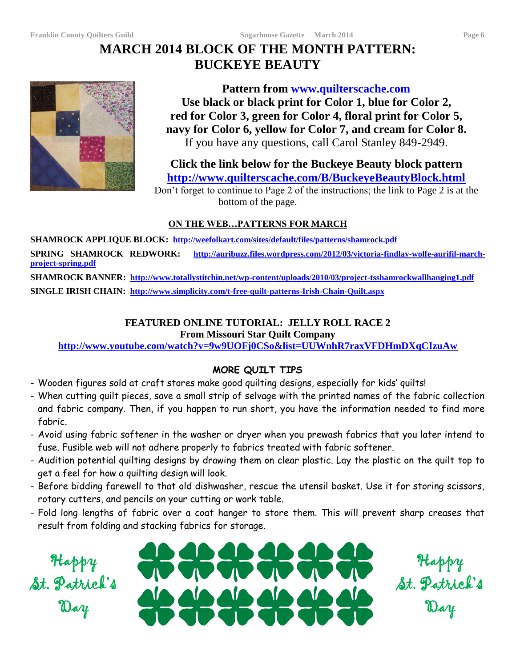# **MARCH 2014 BLOCK OF THE MONTH PATTERN: BUCKEYE BEAUTY**



**Pattern from www.quilterscache.com Use black or black print for Color 1, blue for Color 2, red for Color 3, green for Color 4, floral print for Color 5, navy for Color 6, yellow for Color 7, and cream for Color 8.** If you have any questions, call Carol Stanley 849-2949.

**Click the link below for the Buckeye Beauty block pattern <http://www.quilterscache.com/B/BuckeyeBeautyBlock.html>**

Don't forget to continue to Page 2 of the instructions; the link to Page 2 is at the bottom of the page.

# **ON THE WEB…PATTERNS FOR MARCH**

**SHAMROCK APPLIQUE BLOCK: <http://weefolkart.com/sites/default/files/patterns/shamrock.pdf> SPRING SHAMROCK REDWORK: [http://auribuzz.files.wordpress.com/2012/03/victoria-findlay-wolfe-aurifil-march](http://auribuzz.files.wordpress.com/2012/03/victoria-findlay-wolfe-aurifil-march-project-spring.pdf)[project-spring.pdf](http://auribuzz.files.wordpress.com/2012/03/victoria-findlay-wolfe-aurifil-march-project-spring.pdf) SHAMROCK BANNER: <http://www.totallystitchin.net/wp-content/uploads/2010/03/project-tsshamrockwallhanging1.pdf>**

**SINGLE IRISH CHAIN: <http://www.simplicity.com/t-free-quilt-patterns-Irish-Chain-Quilt.aspx>**

# **FEATURED ONLINE TUTORIAL: JELLY ROLL RACE 2**

**From Missouri Star Quilt Company**

**<http://www.youtube.com/watch?v=9w9UOFj0CSo&list=UUWnhR7raxVFDHmDXqCIzuAw>**

# **MORE QUILT TIPS**

- Wooden figures sold at craft stores make good quilting designs, especially for kids' quilts!
- When cutting quilt pieces, save a small strip of selvage with the printed names of the fabric collection and fabric company. Then, if you happen to run short, you have the information needed to find more fabric.
- Avoid using fabric softener in the washer or dryer when you prewash fabrics that you later intend to fuse. Fusible web will not adhere properly to fabrics treated with fabric softener.
- Audition potential quilting designs by drawing them on clear plastic. Lay the plastic on the quilt top to get a feel for how a quilting design will look.
- Before bidding farewell to that old dishwasher, rescue the utensil basket. Use it for storing scissors, rotary cutters, and pencils on your cutting or work table.
- Fold long lengths of fabric over a coat hanger to store them. This will prevent sharp creases that result from folding and stacking fabrics for storage.

Happy St. Patrick's Day



Happy St. Patrick's Day